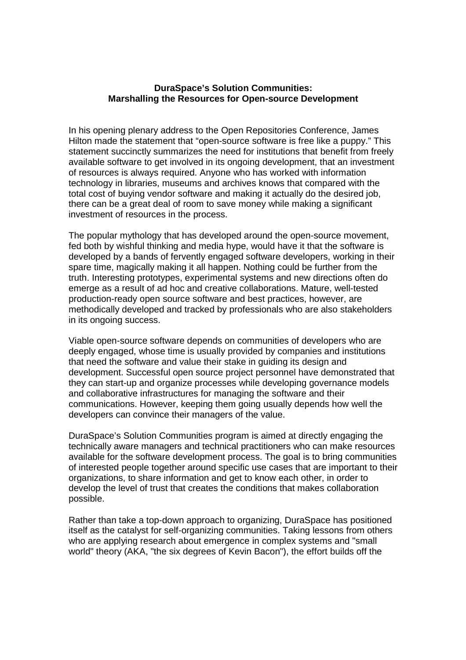## **DuraSpace's Solution Communities: Marshalling the Resources for Open-source Development**

In his opening plenary address to the Open Repositories Conference, James Hilton made the statement that "open-source software is free like a puppy." This statement succinctly summarizes the need for institutions that benefit from freely available software to get involved in its ongoing development, that an investment of resources is always required. Anyone who has worked with information technology in libraries, museums and archives knows that compared with the total cost of buying vendor software and making it actually do the desired job, there can be a great deal of room to save money while making a significant investment of resources in the process.

The popular mythology that has developed around the open-source movement, fed both by wishful thinking and media hype, would have it that the software is developed by a bands of fervently engaged software developers, working in their spare time, magically making it all happen. Nothing could be further from the truth. Interesting prototypes, experimental systems and new directions often do emerge as a result of ad hoc and creative collaborations. Mature, well-tested production-ready open source software and best practices, however, are methodically developed and tracked by professionals who are also stakeholders in its ongoing success.

Viable open-source software depends on communities of developers who are deeply engaged, whose time is usually provided by companies and institutions that need the software and value their stake in guiding its design and development. Successful open source project personnel have demonstrated that they can start-up and organize processes while developing governance models and collaborative infrastructures for managing the software and their communications. However, keeping them going usually depends how well the developers can convince their managers of the value.

DuraSpace's Solution Communities program is aimed at directly engaging the technically aware managers and technical practitioners who can make resources available for the software development process. The goal is to bring communities of interested people together around specific use cases that are important to their organizations, to share information and get to know each other, in order to develop the level of trust that creates the conditions that makes collaboration possible.

Rather than take a top-down approach to organizing, DuraSpace has positioned itself as the catalyst for self-organizing communities. Taking lessons from others who are applying research about emergence in complex systems and "small world" theory (AKA, "the six degrees of Kevin Bacon"), the effort builds off the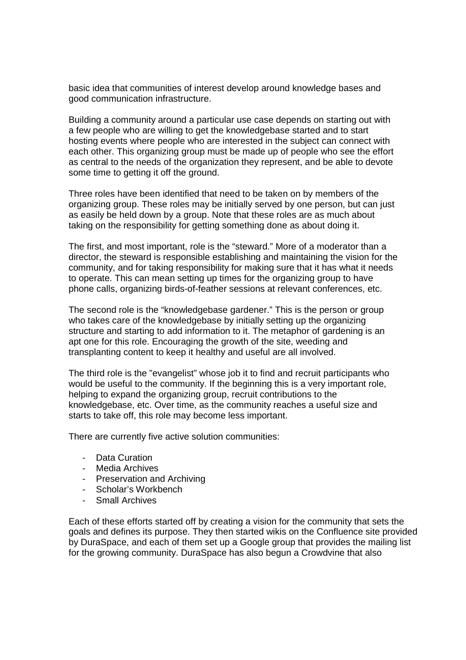basic idea that communities of interest develop around knowledge bases and good communication infrastructure.

Building a community around a particular use case depends on starting out with a few people who are willing to get the knowledgebase started and to start hosting events where people who are interested in the subject can connect with each other. This organizing group must be made up of people who see the effort as central to the needs of the organization they represent, and be able to devote some time to getting it off the ground.

Three roles have been identified that need to be taken on by members of the organizing group. These roles may be initially served by one person, but can just as easily be held down by a group. Note that these roles are as much about taking on the responsibility for getting something done as about doing it.

The first, and most important, role is the "steward." More of a moderator than a director, the steward is responsible establishing and maintaining the vision for the community, and for taking responsibility for making sure that it has what it needs to operate. This can mean setting up times for the organizing group to have phone calls, organizing birds-of-feather sessions at relevant conferences, etc.

The second role is the "knowledgebase gardener." This is the person or group who takes care of the knowledgebase by initially setting up the organizing structure and starting to add information to it. The metaphor of gardening is an apt one for this role. Encouraging the growth of the site, weeding and transplanting content to keep it healthy and useful are all involved.

The third role is the "evangelist" whose job it to find and recruit participants who would be useful to the community. If the beginning this is a very important role, helping to expand the organizing group, recruit contributions to the knowledgebase, etc. Over time, as the community reaches a useful size and starts to take off, this role may become less important.

There are currently five active solution communities:

- Data Curation
- Media Archives
- Preservation and Archiving
- Scholar's Workbench
- Small Archives

Each of these efforts started off by creating a vision for the community that sets the goals and defines its purpose. They then started wikis on the Confluence site provided by DuraSpace, and each of them set up a Google group that provides the mailing list for the growing community. DuraSpace has also begun a Crowdvine that also